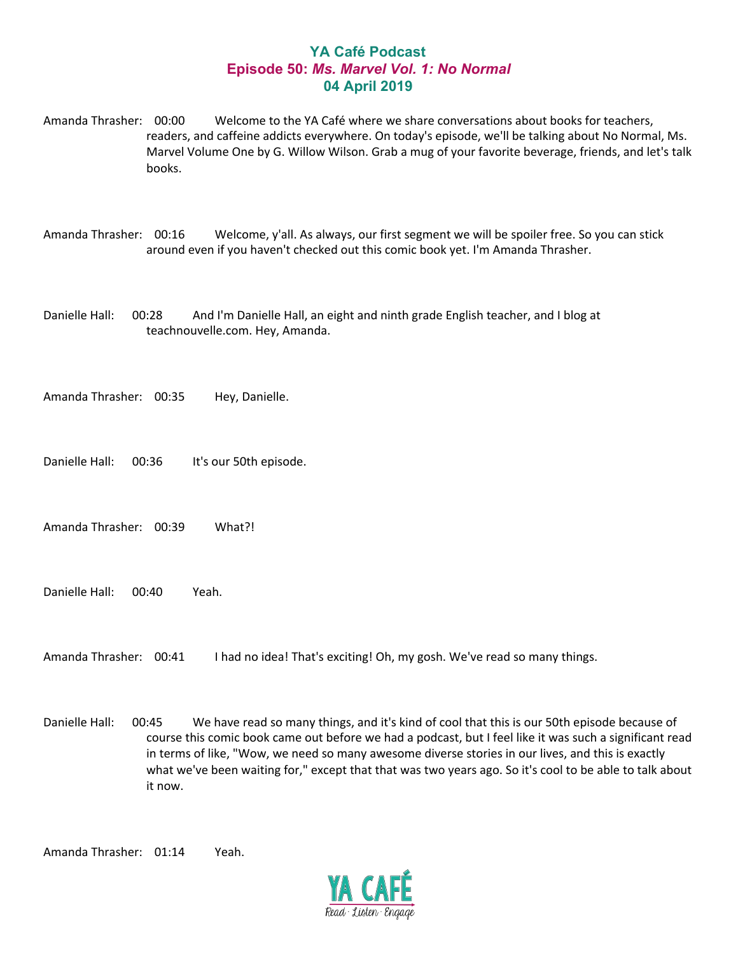## **YA Café Podcast Episode 50:** *Ms. Marvel Vol. 1: No Normal* **04 April 2019**

Amanda Thrasher: 00:00 Welcome to the YA Café where we share conversations about books for teachers, readers, and caffeine addicts everywhere. On today's episode, we'll be talking about No Normal, Ms. Marvel Volume One by G. Willow Wilson. Grab a mug of your favorite beverage, friends, and let's talk books.

Amanda Thrasher: 00:16 Welcome, y'all. As always, our first segment we will be spoiler free. So you can stick around even if you haven't checked out this comic book yet. I'm Amanda Thrasher.

Danielle Hall: 00:28 And I'm Danielle Hall, an eight and ninth grade English teacher, and I blog at teachnouvelle.com. Hey, Amanda.

Amanda Thrasher: 00:35 Hey, Danielle.

Danielle Hall: 00:36 It's our 50th episode.

Amanda Thrasher: 00:39 What?!

Danielle Hall: 00:40 Yeah.

Amanda Thrasher: 00:41 I had no idea! That's exciting! Oh, my gosh. We've read so many things.

Danielle Hall: 00:45 We have read so many things, and it's kind of cool that this is our 50th episode because of course this comic book came out before we had a podcast, but I feel like it was such a significant read in terms of like, "Wow, we need so many awesome diverse stories in our lives, and this is exactly what we've been waiting for," except that that was two years ago. So it's cool to be able to talk about it now.

Amanda Thrasher: 01:14 Yeah.

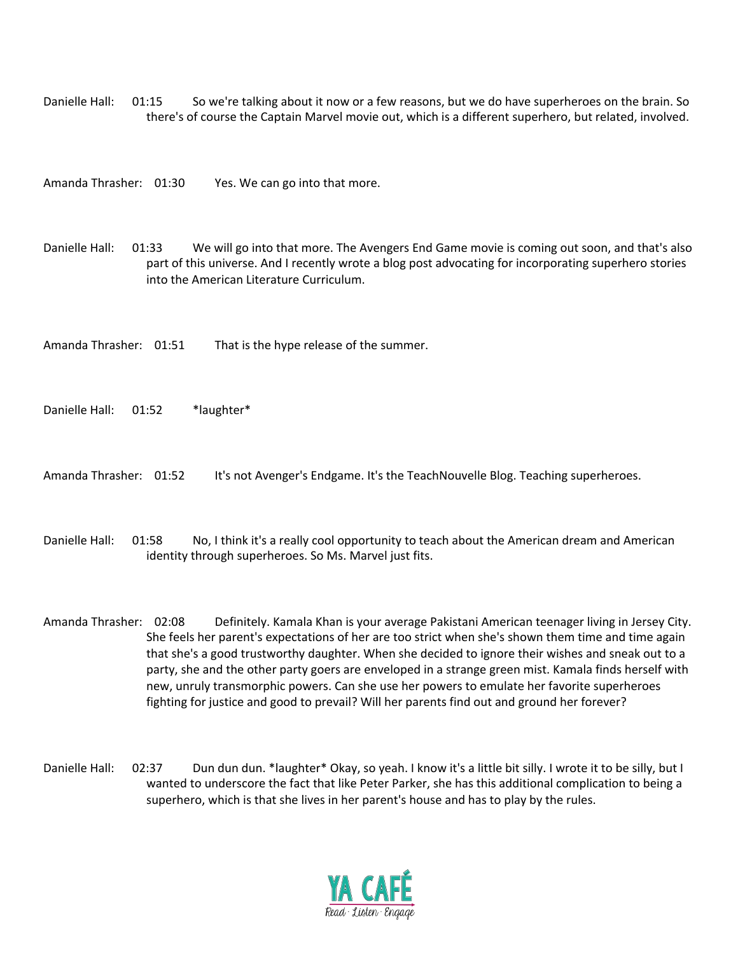Danielle Hall: 01:15 So we're talking about it now or a few reasons, but we do have superheroes on the brain. So there's of course the Captain Marvel movie out, which is a different superhero, but related, involved.

Amanda Thrasher: 01:30 Yes. We can go into that more.

Danielle Hall: 01:33 We will go into that more. The Avengers End Game movie is coming out soon, and that's also part of this universe. And I recently wrote a blog post advocating for incorporating superhero stories into the American Literature Curriculum.

Amanda Thrasher: 01:51 That is the hype release of the summer.

Danielle Hall: 01:52 \*laughter\*

Amanda Thrasher: 01:52 It's not Avenger's Endgame. It's the TeachNouvelle Blog. Teaching superheroes.

Danielle Hall: 01:58 No, I think it's a really cool opportunity to teach about the American dream and American identity through superheroes. So Ms. Marvel just fits.

Amanda Thrasher: 02:08 Definitely. Kamala Khan is your average Pakistani American teenager living in Jersey City. She feels her parent's expectations of her are too strict when she's shown them time and time again that she's a good trustworthy daughter. When she decided to ignore their wishes and sneak out to a party, she and the other party goers are enveloped in a strange green mist. Kamala finds herself with new, unruly transmorphic powers. Can she use her powers to emulate her favorite superheroes fighting for justice and good to prevail? Will her parents find out and ground her forever?

Danielle Hall: 02:37 Dun dun dun. \*laughter\* Okay, so yeah. I know it's a little bit silly. I wrote it to be silly, but I wanted to underscore the fact that like Peter Parker, she has this additional complication to being a superhero, which is that she lives in her parent's house and has to play by the rules.

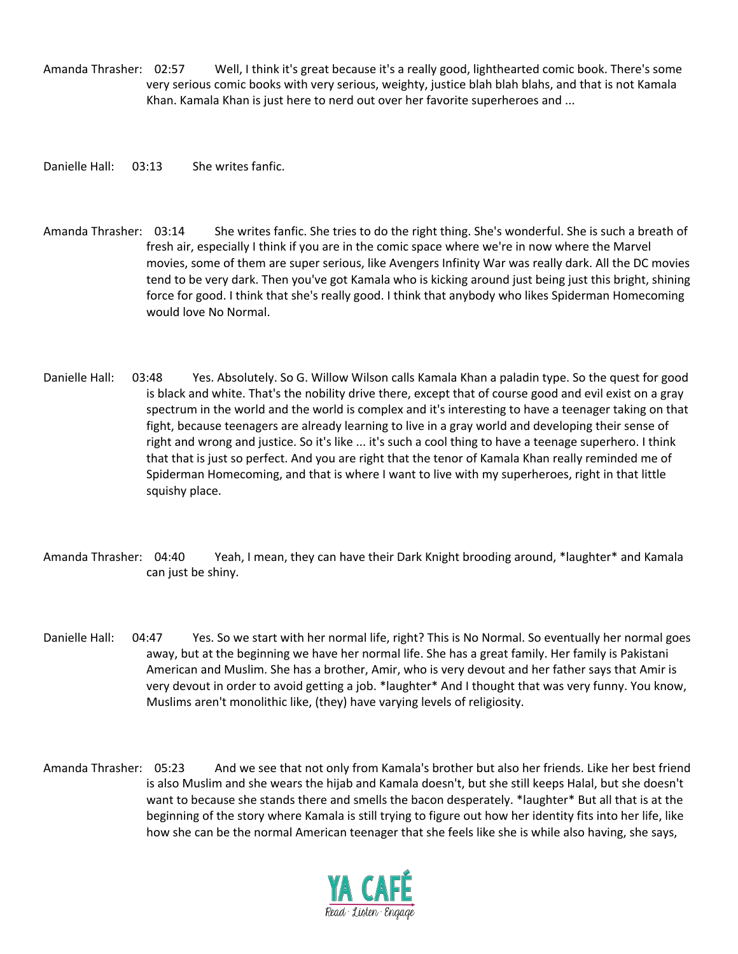Amanda Thrasher: 02:57 Well, I think it's great because it's a really good, lighthearted comic book. There's some very serious comic books with very serious, weighty, justice blah blah blahs, and that is not Kamala Khan. Kamala Khan is just here to nerd out over her favorite superheroes and ...

Danielle Hall: 03:13 She writes fanfic.

Amanda Thrasher: 03:14 She writes fanfic. She tries to do the right thing. She's wonderful. She is such a breath of fresh air, especially I think if you are in the comic space where we're in now where the Marvel movies, some of them are super serious, like Avengers Infinity War was really dark. All the DC movies tend to be very dark. Then you've got Kamala who is kicking around just being just this bright, shining force for good. I think that she's really good. I think that anybody who likes Spiderman Homecoming would love No Normal.

- Danielle Hall: 03:48 Yes. Absolutely. So G. Willow Wilson calls Kamala Khan a paladin type. So the quest for good is black and white. That's the nobility drive there, except that of course good and evil exist on a gray spectrum in the world and the world is complex and it's interesting to have a teenager taking on that fight, because teenagers are already learning to live in a gray world and developing their sense of right and wrong and justice. So it's like ... it's such a cool thing to have a teenage superhero. I think that that is just so perfect. And you are right that the tenor of Kamala Khan really reminded me of Spiderman Homecoming, and that is where I want to live with my superheroes, right in that little squishy place.
- Amanda Thrasher: 04:40 Yeah, I mean, they can have their Dark Knight brooding around, \*laughter\* and Kamala can just be shiny.
- Danielle Hall: 04:47 Yes. So we start with her normal life, right? This is No Normal. So eventually her normal goes away, but at the beginning we have her normal life. She has a great family. Her family is Pakistani American and Muslim. She has a brother, Amir, who is very devout and her father says that Amir is very devout in order to avoid getting a job. \*laughter\* And I thought that was very funny. You know, Muslims aren't monolithic like, (they) have varying levels of religiosity.
- Amanda Thrasher: 05:23 And we see that not only from Kamala's brother but also her friends. Like her best friend is also Muslim and she wears the hijab and Kamala doesn't, but she still keeps Halal, but she doesn't want to because she stands there and smells the bacon desperately. \*laughter\* But all that is at the beginning of the story where Kamala is still trying to figure out how her identity fits into her life, like how she can be the normal American teenager that she feels like she is while also having, she says,

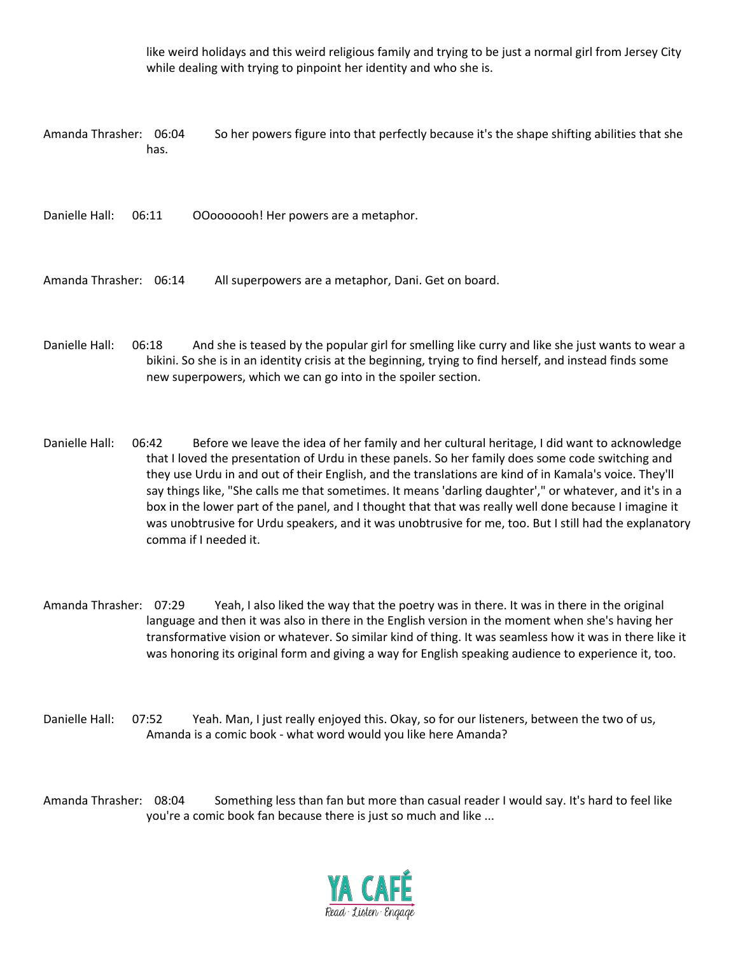like weird holidays and this weird religious family and trying to be just a normal girl from Jersey City while dealing with trying to pinpoint her identity and who she is.

Amanda Thrasher: 06:04 So her powers figure into that perfectly because it's the shape shifting abilities that she has.

Danielle Hall: 06:11 OOooooooh! Her powers are a metaphor.

Amanda Thrasher: 06:14 All superpowers are a metaphor, Dani. Get on board.

Danielle Hall: 06:18 And she is teased by the popular girl for smelling like curry and like she just wants to wear a bikini. So she is in an identity crisis at the beginning, trying to find herself, and instead finds some new superpowers, which we can go into in the spoiler section.

- Danielle Hall: 06:42 Before we leave the idea of her family and her cultural heritage, I did want to acknowledge that I loved the presentation of Urdu in these panels. So her family does some code switching and they use Urdu in and out of their English, and the translations are kind of in Kamala's voice. They'll say things like, "She calls me that sometimes. It means 'darling daughter'," or whatever, and it's in a box in the lower part of the panel, and I thought that that was really well done because I imagine it was unobtrusive for Urdu speakers, and it was unobtrusive for me, too. But I still had the explanatory comma if I needed it.
- Amanda Thrasher: 07:29 Yeah, I also liked the way that the poetry was in there. It was in there in the original language and then it was also in there in the English version in the moment when she's having her transformative vision or whatever. So similar kind of thing. It was seamless how it was in there like it was honoring its original form and giving a way for English speaking audience to experience it, too.
- Danielle Hall: 07:52 Yeah. Man, I just really enjoyed this. Okay, so for our listeners, between the two of us, Amanda is a comic book - what word would you like here Amanda?

Amanda Thrasher: 08:04 Something less than fan but more than casual reader I would say. It's hard to feel like you're a comic book fan because there is just so much and like ...

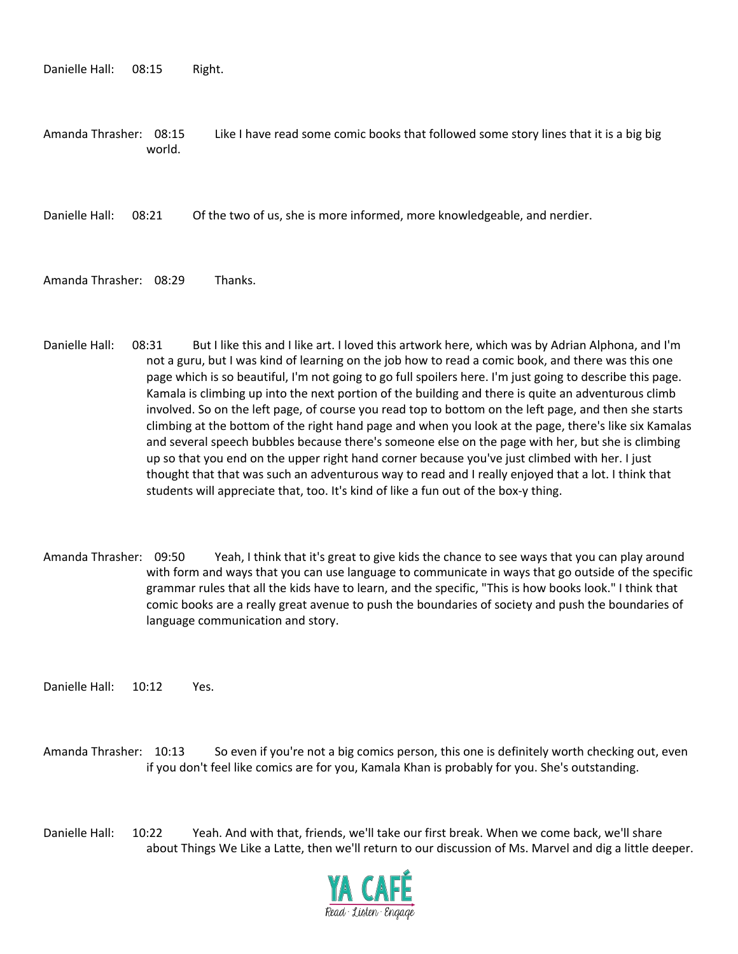Danielle Hall: 08:15 Right.

Amanda Thrasher: 08:15 Like I have read some comic books that followed some story lines that it is a big big world.

Danielle Hall: 08:21 Of the two of us, she is more informed, more knowledgeable, and nerdier.

Amanda Thrasher: 08:29 Thanks.

- Danielle Hall: 08:31 But I like this and I like art. I loved this artwork here, which was by Adrian Alphona, and I'm not a guru, but I was kind of learning on the job how to read a comic book, and there was this one page which is so beautiful, I'm not going to go full spoilers here. I'm just going to describe this page. Kamala is climbing up into the next portion of the building and there is quite an adventurous climb involved. So on the left page, of course you read top to bottom on the left page, and then she starts climbing at the bottom of the right hand page and when you look at the page, there's like six Kamalas and several speech bubbles because there's someone else on the page with her, but she is climbing up so that you end on the upper right hand corner because you've just climbed with her. I just thought that that was such an adventurous way to read and I really enjoyed that a lot. I think that students will appreciate that, too. It's kind of like a fun out of the box-y thing.
- Amanda Thrasher: 09:50 Yeah, I think that it's great to give kids the chance to see ways that you can play around with form and ways that you can use language to communicate in ways that go outside of the specific grammar rules that all the kids have to learn, and the specific, "This is how books look." I think that comic books are a really great avenue to push the boundaries of society and push the boundaries of language communication and story.

Danielle Hall: 10:12 Yes.

Amanda Thrasher: 10:13 So even if you're not a big comics person, this one is definitely worth checking out, even if you don't feel like comics are for you, Kamala Khan is probably for you. She's outstanding.

Danielle Hall: 10:22 Yeah. And with that, friends, we'll take our first break. When we come back, we'll share about Things We Like a Latte, then we'll return to our discussion of Ms. Marvel and dig a little deeper.

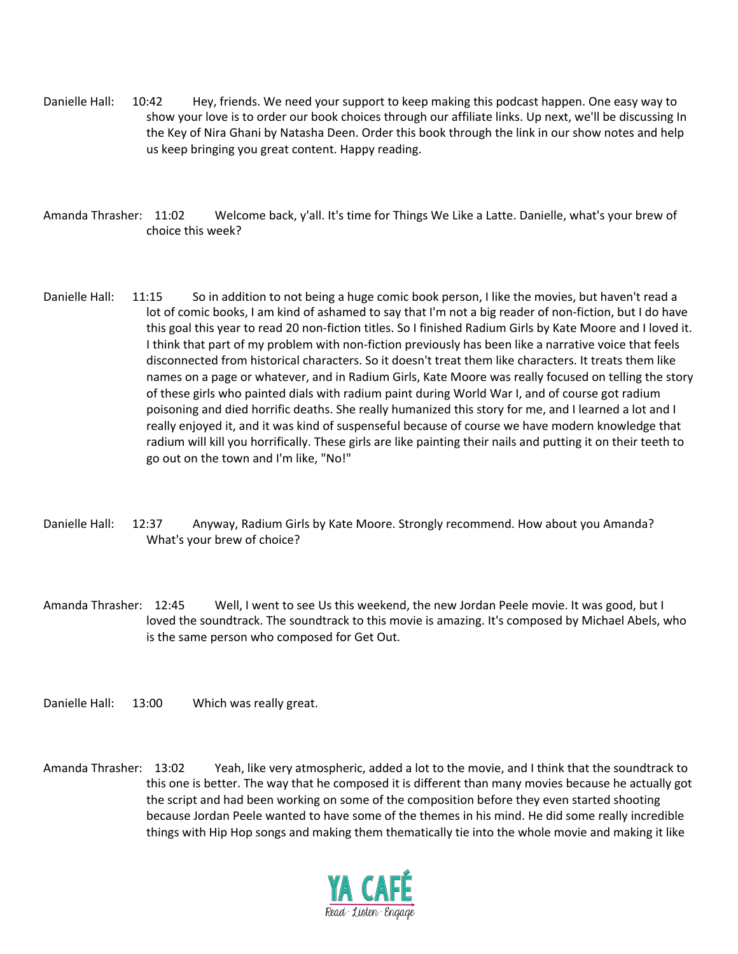- Danielle Hall: 10:42 Hey, friends. We need your support to keep making this podcast happen. One easy way to show your love is to order our book choices through our affiliate links. Up next, we'll be discussing In the Key of Nira Ghani by Natasha Deen. Order this book through the link in our show notes and help us keep bringing you great content. Happy reading.
- Amanda Thrasher: 11:02 Welcome back, y'all. It's time for Things We Like a Latte. Danielle, what's your brew of choice this week?
- Danielle Hall: 11:15 So in addition to not being a huge comic book person, I like the movies, but haven't read a lot of comic books, I am kind of ashamed to say that I'm not a big reader of non-fiction, but I do have this goal this year to read 20 non-fiction titles. So I finished Radium Girls by Kate Moore and I loved it. I think that part of my problem with non-fiction previously has been like a narrative voice that feels disconnected from historical characters. So it doesn't treat them like characters. It treats them like names on a page or whatever, and in Radium Girls, Kate Moore was really focused on telling the story of these girls who painted dials with radium paint during World War I, and of course got radium poisoning and died horrific deaths. She really humanized this story for me, and I learned a lot and I really enjoyed it, and it was kind of suspenseful because of course we have modern knowledge that radium will kill you horrifically. These girls are like painting their nails and putting it on their teeth to go out on the town and I'm like, "No!"
- Danielle Hall: 12:37 Anyway, Radium Girls by Kate Moore. Strongly recommend. How about you Amanda? What's your brew of choice?
- Amanda Thrasher: 12:45 Well, I went to see Us this weekend, the new Jordan Peele movie. It was good, but I loved the soundtrack. The soundtrack to this movie is amazing. It's composed by Michael Abels, who is the same person who composed for Get Out.
- Danielle Hall: 13:00 Which was really great.
- Amanda Thrasher: 13:02 Yeah, like very atmospheric, added a lot to the movie, and I think that the soundtrack to this one is better. The way that he composed it is different than many movies because he actually got the script and had been working on some of the composition before they even started shooting because Jordan Peele wanted to have some of the themes in his mind. He did some really incredible things with Hip Hop songs and making them thematically tie into the whole movie and making it like

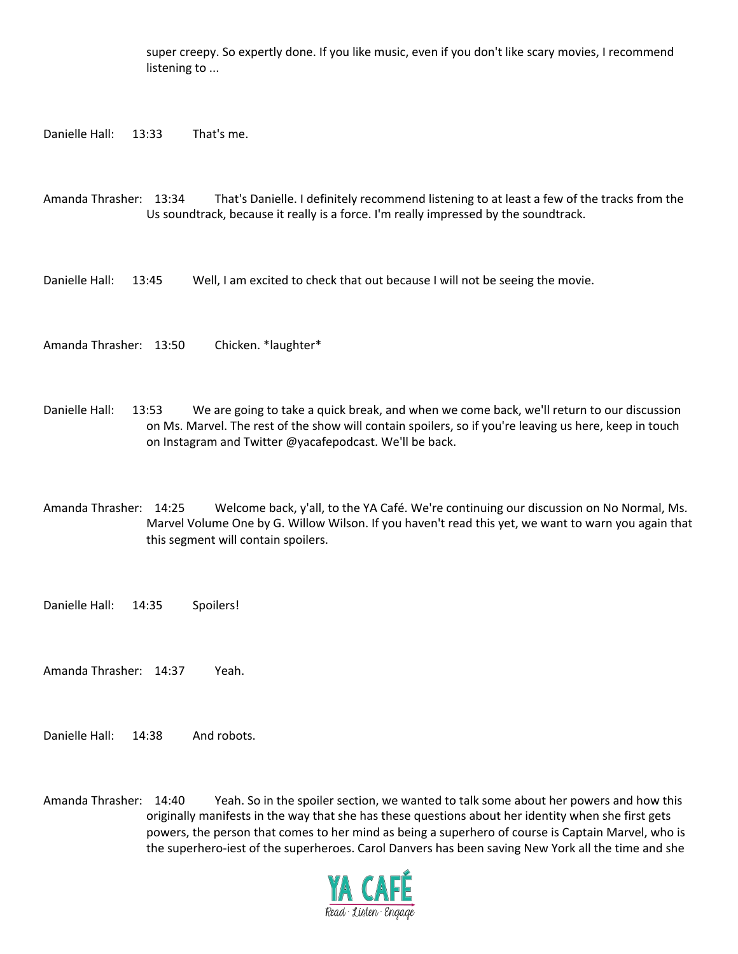super creepy. So expertly done. If you like music, even if you don't like scary movies, I recommend listening to ...

Danielle Hall: 13:33 That's me.

Amanda Thrasher: 13:34 That's Danielle. I definitely recommend listening to at least a few of the tracks from the Us soundtrack, because it really is a force. I'm really impressed by the soundtrack.

Danielle Hall: 13:45 Well, I am excited to check that out because I will not be seeing the movie.

Amanda Thrasher: 13:50 Chicken. \*laughter\*

Danielle Hall: 13:53 We are going to take a quick break, and when we come back, we'll return to our discussion on Ms. Marvel. The rest of the show will contain spoilers, so if you're leaving us here, keep in touch on Instagram and Twitter @yacafepodcast. We'll be back.

Amanda Thrasher: 14:25 Welcome back, y'all, to the YA Café. We're continuing our discussion on No Normal, Ms. Marvel Volume One by G. Willow Wilson. If you haven't read this yet, we want to warn you again that this segment will contain spoilers.

Danielle Hall: 14:35 Spoilers!

Amanda Thrasher: 14:37 Yeah.

Danielle Hall: 14:38 And robots.

Amanda Thrasher: 14:40 Yeah. So in the spoiler section, we wanted to talk some about her powers and how this originally manifests in the way that she has these questions about her identity when she first gets powers, the person that comes to her mind as being a superhero of course is Captain Marvel, who is the superhero-iest of the superheroes. Carol Danvers has been saving New York all the time and she

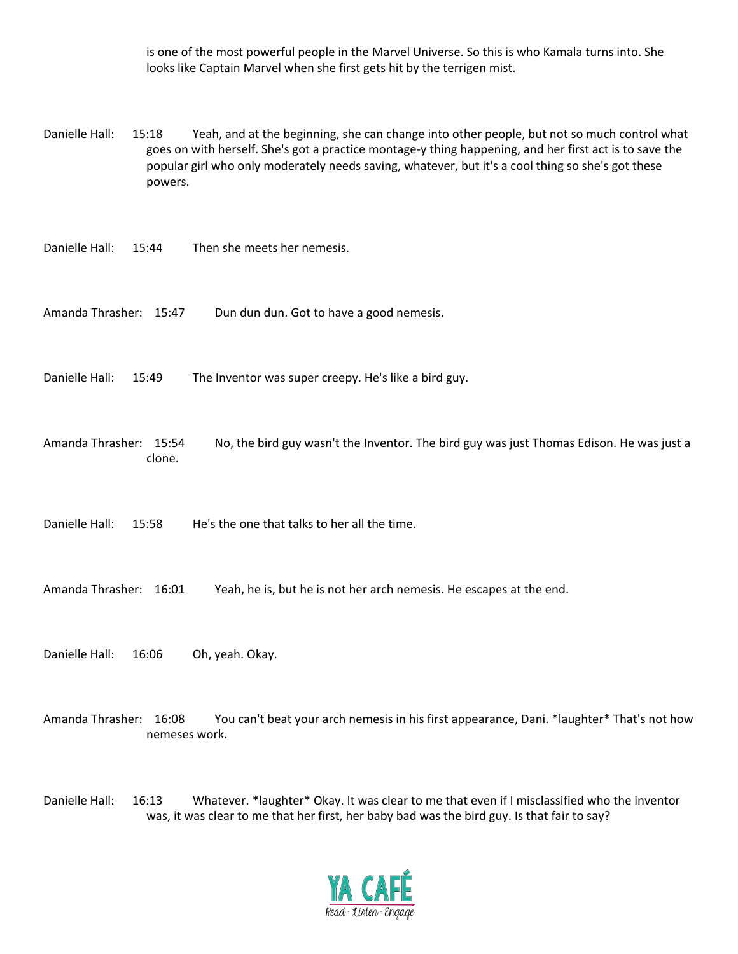is one of the most powerful people in the Marvel Universe. So this is who Kamala turns into. She looks like Captain Marvel when she first gets hit by the terrigen mist.

Danielle Hall: 15:18 Yeah, and at the beginning, she can change into other people, but not so much control what goes on with herself. She's got a practice montage-y thing happening, and her first act is to save the popular girl who only moderately needs saving, whatever, but it's a cool thing so she's got these powers.

Danielle Hall: 15:44 Then she meets her nemesis.

Amanda Thrasher: 15:47 Dun dun dun. Got to have a good nemesis.

Danielle Hall: 15:49 The Inventor was super creepy. He's like a bird guy.

Amanda Thrasher: 15:54 No, the bird guy wasn't the Inventor. The bird guy was just Thomas Edison. He was just a clone.

Danielle Hall: 15:58 He's the one that talks to her all the time.

Amanda Thrasher: 16:01 Yeah, he is, but he is not her arch nemesis. He escapes at the end.

Danielle Hall: 16:06 Oh, yeah. Okay.

Amanda Thrasher: 16:08 You can't beat your arch nemesis in his first appearance, Dani. \*laughter\* That's not how nemeses work.

Danielle Hall: 16:13 Whatever. \*laughter\* Okay. It was clear to me that even if I misclassified who the inventor was, it was clear to me that her first, her baby bad was the bird guy. Is that fair to say?

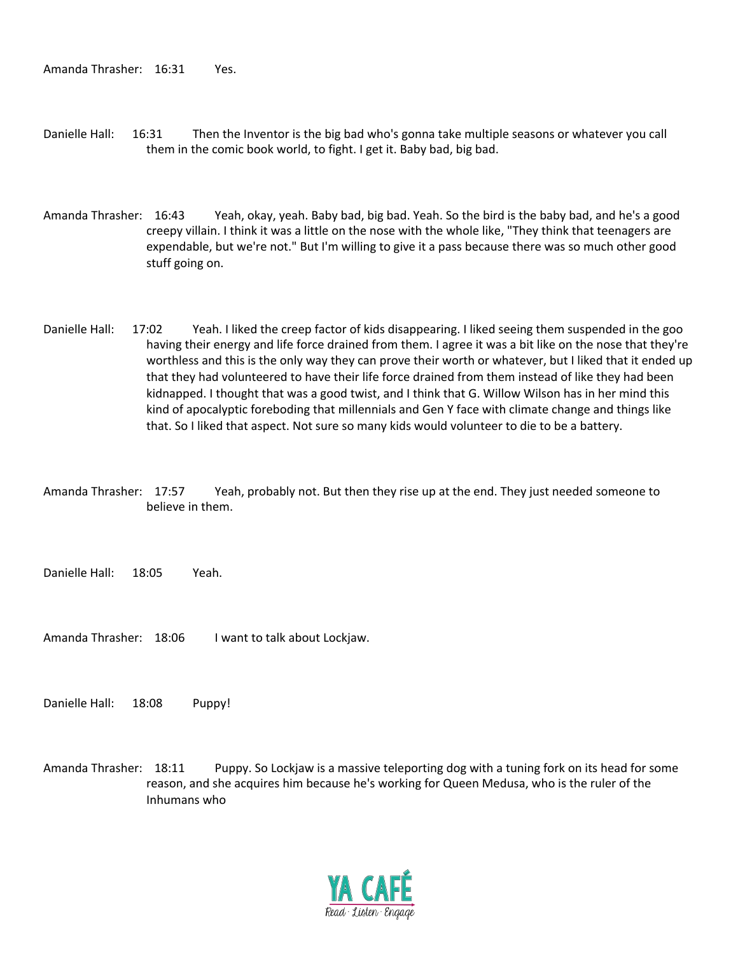- Danielle Hall: 16:31 Then the Inventor is the big bad who's gonna take multiple seasons or whatever you call them in the comic book world, to fight. I get it. Baby bad, big bad.
- Amanda Thrasher: 16:43 Yeah, okay, yeah. Baby bad, big bad. Yeah. So the bird is the baby bad, and he's a good creepy villain. I think it was a little on the nose with the whole like, "They think that teenagers are expendable, but we're not." But I'm willing to give it a pass because there was so much other good stuff going on.
- Danielle Hall: 17:02 Yeah. I liked the creep factor of kids disappearing. I liked seeing them suspended in the goo having their energy and life force drained from them. I agree it was a bit like on the nose that they're worthless and this is the only way they can prove their worth or whatever, but I liked that it ended up that they had volunteered to have their life force drained from them instead of like they had been kidnapped. I thought that was a good twist, and I think that G. Willow Wilson has in her mind this kind of apocalyptic foreboding that millennials and Gen Y face with climate change and things like that. So I liked that aspect. Not sure so many kids would volunteer to die to be a battery.
- Amanda Thrasher: 17:57 Yeah, probably not. But then they rise up at the end. They just needed someone to believe in them.

Danielle Hall: 18:05 Yeah.

Amanda Thrasher: 18:06 I want to talk about Lockjaw.

Danielle Hall: 18:08 Puppy!

Amanda Thrasher: 18:11 Puppy. So Lockjaw is a massive teleporting dog with a tuning fork on its head for some reason, and she acquires him because he's working for Queen Medusa, who is the ruler of the Inhumans who

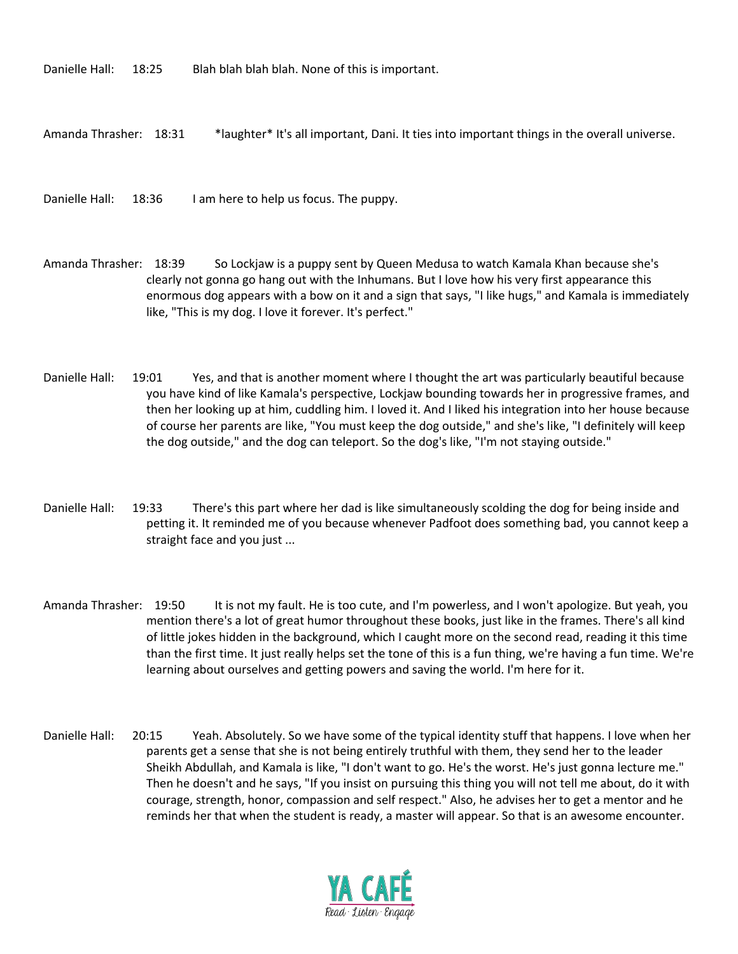Danielle Hall: 18:25 Blah blah blah blah. None of this is important.

Amanda Thrasher: 18:31 \*laughter\* It's all important, Dani. It ties into important things in the overall universe.

Danielle Hall: 18:36 I am here to help us focus. The puppy.

Amanda Thrasher: 18:39 So Lockjaw is a puppy sent by Queen Medusa to watch Kamala Khan because she's clearly not gonna go hang out with the Inhumans. But I love how his very first appearance this enormous dog appears with a bow on it and a sign that says, "I like hugs," and Kamala is immediately like, "This is my dog. I love it forever. It's perfect."

Danielle Hall: 19:01 Yes, and that is another moment where I thought the art was particularly beautiful because you have kind of like Kamala's perspective, Lockjaw bounding towards her in progressive frames, and then her looking up at him, cuddling him. I loved it. And I liked his integration into her house because of course her parents are like, "You must keep the dog outside," and she's like, "I definitely will keep the dog outside," and the dog can teleport. So the dog's like, "I'm not staying outside."

- Danielle Hall: 19:33 There's this part where her dad is like simultaneously scolding the dog for being inside and petting it. It reminded me of you because whenever Padfoot does something bad, you cannot keep a straight face and you just ...
- Amanda Thrasher: 19:50 It is not my fault. He is too cute, and I'm powerless, and I won't apologize. But yeah, you mention there's a lot of great humor throughout these books, just like in the frames. There's all kind of little jokes hidden in the background, which I caught more on the second read, reading it this time than the first time. It just really helps set the tone of this is a fun thing, we're having a fun time. We're learning about ourselves and getting powers and saving the world. I'm here for it.
- Danielle Hall: 20:15 Yeah. Absolutely. So we have some of the typical identity stuff that happens. I love when her parents get a sense that she is not being entirely truthful with them, they send her to the leader Sheikh Abdullah, and Kamala is like, "I don't want to go. He's the worst. He's just gonna lecture me." Then he doesn't and he says, "If you insist on pursuing this thing you will not tell me about, do it with courage, strength, honor, compassion and self respect." Also, he advises her to get a mentor and he reminds her that when the student is ready, a master will appear. So that is an awesome encounter.

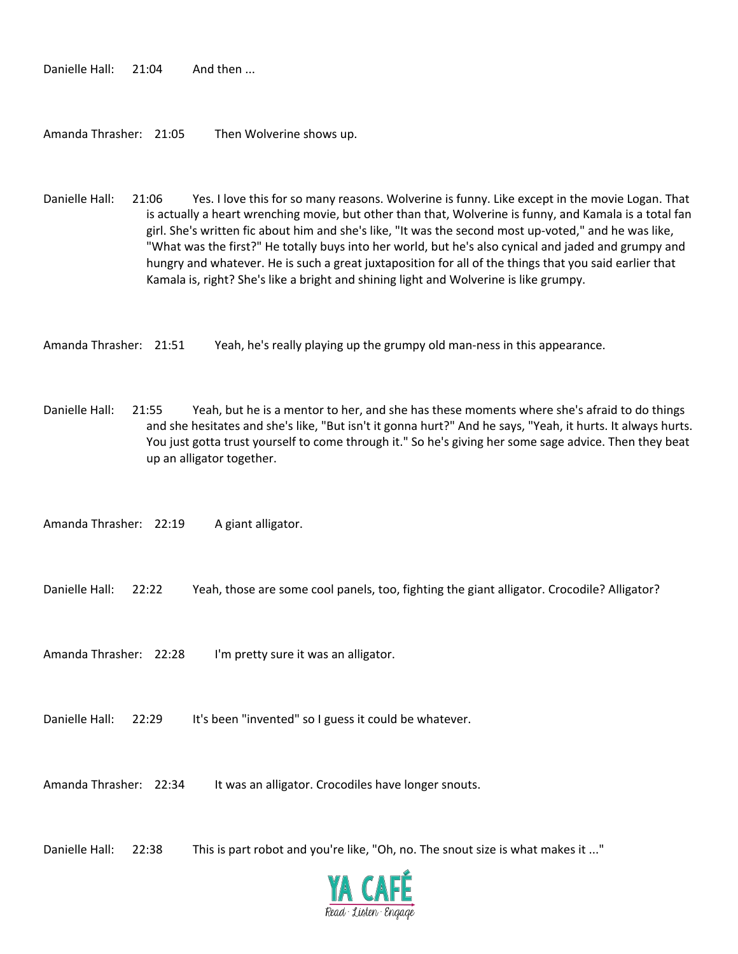Danielle Hall: 21:04 And then ...

Amanda Thrasher: 21:05 Then Wolverine shows up.

Danielle Hall: 21:06 Yes. I love this for so many reasons. Wolverine is funny. Like except in the movie Logan. That is actually a heart wrenching movie, but other than that, Wolverine is funny, and Kamala is a total fan girl. She's written fic about him and she's like, "It was the second most up-voted," and he was like, "What was the first?" He totally buys into her world, but he's also cynical and jaded and grumpy and hungry and whatever. He is such a great juxtaposition for all of the things that you said earlier that Kamala is, right? She's like a bright and shining light and Wolverine is like grumpy.

Amanda Thrasher: 21:51 Yeah, he's really playing up the grumpy old man-ness in this appearance.

Danielle Hall: 21:55 Yeah, but he is a mentor to her, and she has these moments where she's afraid to do things and she hesitates and she's like, "But isn't it gonna hurt?" And he says, "Yeah, it hurts. It always hurts. You just gotta trust yourself to come through it." So he's giving her some sage advice. Then they beat up an alligator together.

Amanda Thrasher: 22:19 A giant alligator.

Danielle Hall: 22:22 Yeah, those are some cool panels, too, fighting the giant alligator. Crocodile? Alligator?

Amanda Thrasher: 22:28 I'm pretty sure it was an alligator.

Danielle Hall: 22:29 It's been "invented" so I guess it could be whatever.

Amanda Thrasher: 22:34 It was an alligator. Crocodiles have longer snouts.

Danielle Hall: 22:38 This is part robot and you're like, "Oh, no. The snout size is what makes it ..."